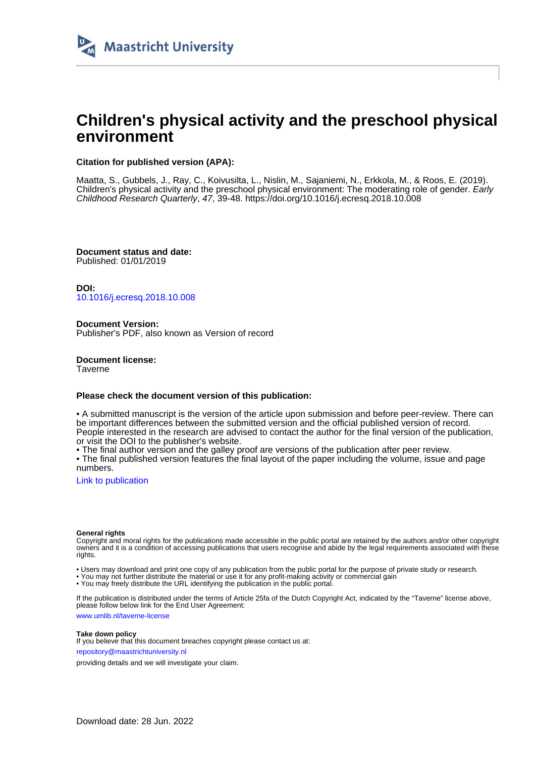

# **Children's physical activity and the preschool physical environment**

## **Citation for published version (APA):**

Maatta, S., Gubbels, J., Ray, C., Koivusilta, L., Nislin, M., Sajaniemi, N., Erkkola, M., & Roos, E. (2019). Children's physical activity and the preschool physical environment: The moderating role of gender. Early Childhood Research Quarterly, 47, 39-48. <https://doi.org/10.1016/j.ecresq.2018.10.008>

**Document status and date:** Published: 01/01/2019

**DOI:** [10.1016/j.ecresq.2018.10.008](https://doi.org/10.1016/j.ecresq.2018.10.008)

**Document Version:** Publisher's PDF, also known as Version of record

**Document license: Taverne** 

## **Please check the document version of this publication:**

• A submitted manuscript is the version of the article upon submission and before peer-review. There can be important differences between the submitted version and the official published version of record. People interested in the research are advised to contact the author for the final version of the publication, or visit the DOI to the publisher's website.

• The final author version and the galley proof are versions of the publication after peer review.

• The final published version features the final layout of the paper including the volume, issue and page numbers.

[Link to publication](https://cris.maastrichtuniversity.nl/en/publications/72bcdd84-5ca8-4cb7-a9bd-35a619259428)

### **General rights**

Copyright and moral rights for the publications made accessible in the public portal are retained by the authors and/or other copyright owners and it is a condition of accessing publications that users recognise and abide by the legal requirements associated with these rights.

• Users may download and print one copy of any publication from the public portal for the purpose of private study or research.

• You may not further distribute the material or use it for any profit-making activity or commercial gain

• You may freely distribute the URL identifying the publication in the public portal.

If the publication is distributed under the terms of Article 25fa of the Dutch Copyright Act, indicated by the "Taverne" license above, please follow below link for the End User Agreement:

www.umlib.nl/taverne-license

## **Take down policy**

If you believe that this document breaches copyright please contact us at: repository@maastrichtuniversity.nl

providing details and we will investigate your claim.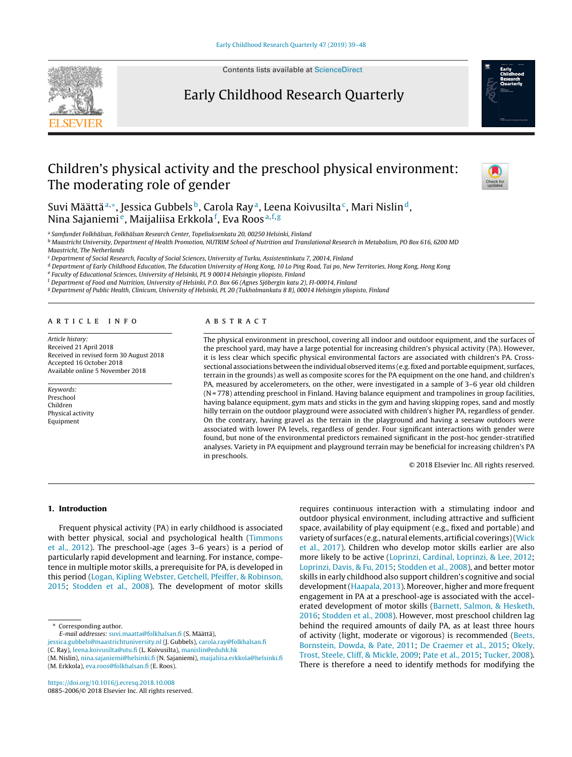

Contents lists available at [ScienceDirect](http://www.sciencedirect.com/science/journal/08852006)

## Early Childhood Research Quarterly



## Children's physical activity and the preschool physical environment: The moderating role of gender



Suvi Määttä<sup>a,</sup>\*, Jessica Gubbels<sup>b</sup>, Carola Ray<sup>a</sup>, Leena Koivusilta<sup>c</sup>, Mari Nislin<sup>d</sup>, Nina Sajaniemi<sup>e</sup>, Maijaliisa Erkkola<sup>f</sup>, Eva Roos<sup>a,f,g</sup>

<sup>a</sup> Samfundet Folkhälsan, Folkhälsan Research Center, Topeliuksenkatu 20, 00250 Helsinki, Finland

<sup>b</sup> Maastricht University, Department of Health Promotion, NUTRIM School of Nutrition and Translational Research in Metabolism, PO Box 616, 6200 MD Maastricht, The Netherlands

<sup>c</sup> Department of Social Research, Faculty of Social Sciences, University of Turku, Assistentinkatu 7, 20014, Finland

<sup>d</sup> Department of Early Childhood Education, The Education University of Hong Kong, 10 Lo Ping Road, Tai po, New Territories, Hong Kong, Hong Kong

e Faculty of Educational Sciences, University of Helsinki, PL 9 00014 Helsingin yliopisto, Finland

<sup>f</sup> Department of Food and Nutrition, University of Helsinki, P.O. Box 66 (Agnes Sjöbergin katu 2), FI-00014, Finland

<sup>g</sup> Department of Public Health, Clinicum, University of Helsinki, PL 20 (Tukholmankatu 8 B), 00014 Helsingin yliopisto, Finland

#### a r t i c l e i n f o

Article history: Received 21 April 2018 Received in revised form 30 August 2018 Accepted 16 October 2018 Available online 5 November 2018

Keywords: Preschool Children Physical activity Equipment

#### A B S T R A C T

The physical environment in preschool, covering all indoor and outdoor equipment, and the surfaces of the preschool yard, may have a large potential for increasing children's physical activity (PA). However, it is less clear which specific physical environmental factors are associated with children's PA. Crosssectional associations between the individual observed items (e.g. fixed and portable equipment, surfaces, terrain in the grounds) as well as composite scores for the PA equipment on the one hand, and children's PA, measured by accelerometers, on the other, were investigated in a sample of 3–6 year old children (N = 778) attending preschool in Finland. Having balance equipment and trampolines in group facilities, having balance equipment, gym mats and sticks in the gym and having skipping ropes, sand and mostly hilly terrain on the outdoor playground were associated with children's higher PA, regardless of gender. On the contrary, having gravel as the terrain in the playground and having a seesaw outdoors were associated with lower PA levels, regardless of gender. Four significant interactions with gender were found, but none of the environmental predictors remained significant in the post-hoc gender-stratified analyses. Variety in PA equipment and playground terrain may be beneficial for increasing children's PA in preschools.

© 2018 Elsevier Inc. All rights reserved.

#### **1. Introduction**

Frequent physical activity (PA) in early childhood is associated with better physical, social and psychological health [\(Timmons](#page-10-0) et [al.,](#page-10-0) [2012\).](#page-10-0) The preschool-age (ages 3–6 years) is a period of particularly rapid development and learning. For instance, competence in multiple motor skills, a prerequisite for PA, is developed in this period [\(Logan,](#page-10-0) [Kipling](#page-10-0) [Webster,](#page-10-0) [Getchell,](#page-10-0) [Pfeiffer,](#page-10-0) [&](#page-10-0) [Robinson,](#page-10-0) [2015;](#page-10-0) [Stodden](#page-10-0) et [al.,](#page-10-0) [2008\).](#page-10-0) The development of motor skills

Corresponding author.

E-mail addresses: [suvi.maatta@folkhalsan.fi](mailto:suvi.maatta@folkhalsan.fi) (S. Määttä), [jessica.gubbels@maastrichtuniversity.nl](mailto:jessica.gubbels@maastrichtuniversity.nl) (J. Gubbels), [carola.ray@folkhalsan.fi](mailto:carola.ray@folkhalsan.fi)

(C. Ray), [leena.koivusilta@utu.fi](mailto:leena.koivusilta@utu.fi) (L. Koivusilta), [manislin@eduhk.hk](mailto:manislin@eduhk.hk) (M. Nislin), [nina.sajaniemi@helsinki.fi](mailto:nina.sajaniemi@helsinki.fi) (N. Sajaniemi), [maijaliisa.erkkola@helsinki.fi](mailto:maijaliisa.erkkola@helsinki.fi) requires continuous interaction with a stimulating indoor and outdoor physical environment, including attractive and sufficient space, availability of play equipment (e.g., fixed and portable) and variety of surfaces (e.g., natural elements, artificial coverings) [\(Wick](#page-10-0) et [al.,](#page-10-0) [2017\).](#page-10-0) Children who develop motor skills earlier are also more likely to be active [\(Loprinzi,](#page-10-0) [Cardinal,](#page-10-0) [Loprinzi,](#page-10-0) [&](#page-10-0) [Lee,](#page-10-0) [2012;](#page-10-0) [Loprinzi,](#page-10-0) [Davis,](#page-10-0) [&](#page-10-0) [Fu,](#page-10-0) [2015;](#page-10-0) [Stodden](#page-10-0) et [al.,](#page-10-0) [2008\),](#page-10-0) and better motor skills in early childhood also support children's cognitive and social development[\(Haapala,](#page-10-0) [2013\).](#page-10-0) Moreover, higher and more frequent engagement in PA at a preschool-age is associated with the accelerated development of motor skills [\(Barnett,](#page-9-0) [Salmon,](#page-9-0) [&](#page-9-0) [Hesketh,](#page-9-0) [2016;](#page-9-0) [Stodden](#page-10-0) et [al.,](#page-10-0) [2008\).](#page-10-0) However, most preschool children lag behind the required amounts of daily PA, as at least three hours of activity (light, moderate or vigorous) is recommended [\(Beets,](#page-9-0) [Bornstein,](#page-9-0) [Dowda,](#page-9-0) [&](#page-9-0) [Pate,](#page-9-0) [2011;](#page-9-0) [De](#page-9-0) [Craemer](#page-9-0) et [al.,](#page-9-0) [2015;](#page-9-0) [Okely,](#page-10-0) [Trost,](#page-10-0) [Steele,](#page-10-0) [Cliff,](#page-10-0) [&](#page-10-0) [Mickle,](#page-10-0) [2009;](#page-10-0) [Pate](#page-10-0) et [al.,](#page-10-0) [2015;](#page-10-0) [Tucker,](#page-10-0) [2008\).](#page-10-0) There is therefore a need to identify methods for modifying the

<sup>(</sup>M. Erkkola), [eva.roos@folkhalsan.fi](mailto:eva.roos@folkhalsan.fi) (E. Roos).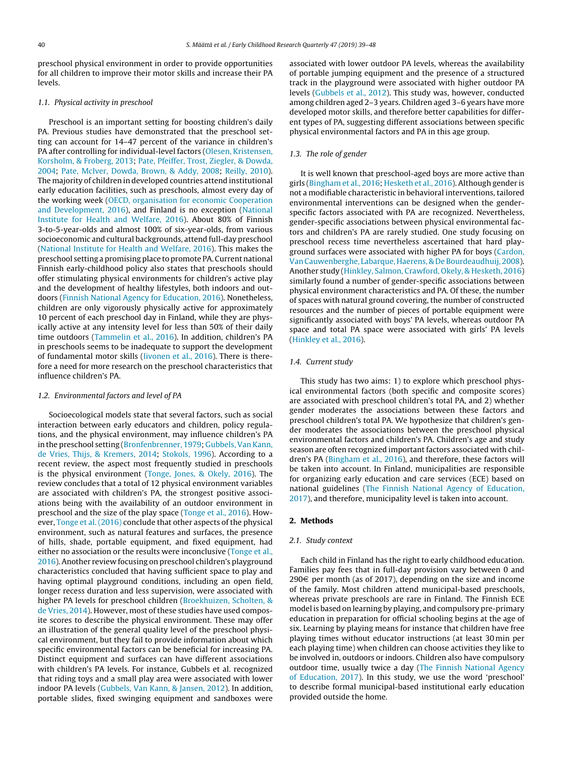preschool physical environment in order to provide opportunities for all children to improve their motor skills and increase their PA levels.

## 1.1. Physical activity in preschool

Preschool is an important setting for boosting children's daily PA. Previous studies have demonstrated that the preschool setting can account for 14–47 percent of the variance in children's PA after controlling for individual-level factors ([Olesen,](#page-10-0) [Kristensen,](#page-10-0) [Korsholm,](#page-10-0) [&](#page-10-0) [Froberg,](#page-10-0) [2013;](#page-10-0) [Pate,](#page-10-0) [Pfeiffer,](#page-10-0) [Trost,](#page-10-0) [Ziegler,](#page-10-0) [&](#page-10-0) [Dowda,](#page-10-0) [2004;](#page-10-0) [Pate,](#page-10-0) [McIver,](#page-10-0) [Dowda,](#page-10-0) [Brown,](#page-10-0) [&](#page-10-0) [Addy,](#page-10-0) [2008;](#page-10-0) [Reilly,](#page-10-0) [2010\).](#page-10-0) The majority of children in developed countries attend institutional early education facilities, such as preschools, almost every day of the working week [\(OECD,](#page-10-0) [organisation](#page-10-0) [for](#page-10-0) [economic](#page-10-0) [Cooperation](#page-10-0) [and](#page-10-0) [Development,](#page-10-0) [2016\),](#page-10-0) and Finland is no exception ([National](#page-10-0) [Institute](#page-10-0) [for](#page-10-0) [Health](#page-10-0) [and](#page-10-0) [Welfare,](#page-10-0) [2016\).](#page-10-0) About 80% of Finnish 3-to-5-year-olds and almost 100% of six-year-olds, from various socioeconomic and cultural backgrounds, attend full-day preschool ([National](#page-10-0) [Institute](#page-10-0) [for](#page-10-0) [Health](#page-10-0) [and](#page-10-0) [Welfare,](#page-10-0) [2016\).](#page-10-0) This makes the preschool setting a promising place to promote PA. Current national Finnish early-childhood policy also states that preschools should offer stimulating physical environments for children's active play and the development of healthy lifestyles, both indoors and outdoors ([Finnish](#page-10-0) [National](#page-10-0) [Agency](#page-10-0) [for](#page-10-0) [Education,](#page-10-0) [2016\).](#page-10-0) Nonetheless, children are only vigorously physically active for approximately 10 percent of each preschool day in Finland, while they are physically active at any intensity level for less than 50% of their daily time outdoors ([Tammelin](#page-10-0) et [al.,](#page-10-0) [2016\).](#page-10-0) In addition, children's PA in preschools seems to be inadequate to support the development of fundamental motor skills [\(Iivonen](#page-10-0) et [al.,](#page-10-0) [2016\).](#page-10-0) There is therefore a need for more research on the preschool characteristics that influence children's PA.

#### 1.2. Environmental factors and level of PA

Socioecological models state that several factors, such as social interaction between early educators and children, policy regulations, and the physical environment, may influence children's PA in the preschool setting ([Bronfenbrenner,](#page-9-0) [1979;](#page-9-0) Gubbels, Van [Kann,](#page-10-0) [de](#page-10-0) [Vries,](#page-10-0) [Thijs,](#page-10-0) [&](#page-10-0) [Kremers,](#page-10-0) [2014;](#page-10-0) [Stokols,](#page-10-0) [1996\).](#page-10-0) According to a recent review, the aspect most frequently studied in preschools is the physical environment ([Tonge,](#page-10-0) [Jones,](#page-10-0) [&](#page-10-0) [Okely,](#page-10-0) [2016\).](#page-10-0) The review concludes that a total of 12 physical environment variables are associated with children's PA, the strongest positive associations being with the availability of an outdoor environment in preschool and the size of the play space [\(Tonge](#page-10-0) et [al.,](#page-10-0) [2016\).](#page-10-0) However, [Tonge](#page-10-0) et [al.](#page-10-0) [\(2016\)](#page-10-0) conclude that other aspects of the physical environment, such as natural features and surfaces, the presence of hills, shade, portable equipment, and fixed equipment, had either no association or the results were inconclusive [\(Tonge](#page-10-0) et [al.,](#page-10-0) [2016\).](#page-10-0) Another review focusing on preschool children's playground characteristics concluded that having sufficient space to play and having optimal playground conditions, including an open field, longer recess duration and less supervision, were associated with higher PA levels for preschool children [\(Broekhuizen,](#page-9-0) [Scholten,](#page-9-0) [&](#page-9-0) [de](#page-9-0) [Vries,](#page-9-0) [2014\).](#page-9-0) However, most of these studies have used composite scores to describe the physical environment. These may offer an illustration of the general quality level of the preschool physical environment, but they fail to provide information about which specific environmental factors can be beneficial for increasing PA. Distinct equipment and surfaces can have different associations with children's PA levels. For instance, Gubbels et al. recognized that riding toys and a small play area were associated with lower indoor PA levels [\(Gubbels,](#page-10-0) [Van](#page-10-0) [Kann,](#page-10-0) [&](#page-10-0) [Jansen,](#page-10-0) [2012\).](#page-10-0) In addition, portable slides, fixed swinging equipment and sandboxes were

associated with lower outdoor PA levels, whereas the availability of portable jumping equipment and the presence of a structured track in the playground were associated with higher outdoor PA levels [\(Gubbels](#page-10-0) et [al.,](#page-10-0) [2012\).](#page-10-0) This study was, however, conducted among children aged 2–3 years. Children aged 3–6 years have more developed motor skills, and therefore better capabilities for different types of PA, suggesting different associations between specific physical environmental factors and PA in this age group.

#### 1.3. The role of gender

It is well known that preschool-aged boys are more active than girls [\(Bingham](#page-9-0) et [al.,](#page-9-0) [2016;](#page-9-0) [Hesketh](#page-10-0) et [al.,](#page-10-0) [2016\).](#page-10-0) Although gender is not a modifiable characteristic in behavioral interventions, tailored environmental interventions can be designed when the genderspecific factors associated with PA are recognized. Nevertheless, gender-specific associations between physical environmental factors and children's PA are rarely studied. One study focusing on preschool recess time nevertheless ascertained that hard playground surfaces were associated with higher PA for boys ([Cardon,](#page-9-0) Van Cauwenberghe, Labarque, Haerens, [&](#page-9-0) De Bourdeaudhuij, [2008\).](#page-9-0) Another study ([Hinkley,](#page-10-0) [Salmon,](#page-10-0) [Crawford,](#page-10-0) [Okely,](#page-10-0) [&](#page-10-0) [Hesketh,](#page-10-0) [2016\)](#page-10-0) similarly found a number of gender-specific associations between physical environment characteristics and PA. Of these, the number of spaces with natural ground covering, the number of constructed resources and the number of pieces of portable equipment were significantly associated with boys' PA levels, whereas outdoor PA space and total PA space were associated with girls' PA levels [\(Hinkley](#page-10-0) et [al.,](#page-10-0) [2016\).](#page-10-0)

#### 1.4. Current study

This study has two aims: 1) to explore which preschool physical environmental factors (both specific and composite scores) are associated with preschool children's total PA, and 2) whether gender moderates the associations between these factors and preschool children's total PA. We hypothesize that children's gender moderates the associations between the preschool physical environmental factors and children's PA. Children's age and study season are often recognized important factors associated with children's PA [\(Bingham](#page-9-0) et [al.,](#page-9-0) [2016\),](#page-9-0) and therefore, these factors will be taken into account. In Finland, municipalities are responsible for organizing early education and care services (ECE) based on national guidelines [\(The](#page-10-0) [Finnish](#page-10-0) [National](#page-10-0) [Agency](#page-10-0) [of](#page-10-0) [Education,](#page-10-0) [2017\),](#page-10-0) and therefore, municipality level is taken into account.

#### **2. Methods**

#### 2.1. Study context

Each child in Finland has the right to early childhood education. Families pay fees that in full-day provision vary between 0 and 290€ per month (as of 2017), depending on the size and income of the family. Most children attend municipal-based preschools, whereas private preschools are rare in Finland. The Finnish ECE model is based on learning by playing, and compulsory pre-primary education in preparation for official schooling begins at the age of six. Learning by playing means for instance that children have free playing times without educator instructions (at least 30 min per each playing time) when children can choose activities they like to be involved in, outdoors or indoors. Children also have compulsory outdoor time, usually twice a day ([The](#page-10-0) [Finnish](#page-10-0) [National](#page-10-0) [Agency](#page-10-0) [of](#page-10-0) [Education,](#page-10-0) [2017\).](#page-10-0) In this study, we use the word 'preschool' to describe formal municipal-based institutional early education provided outside the home.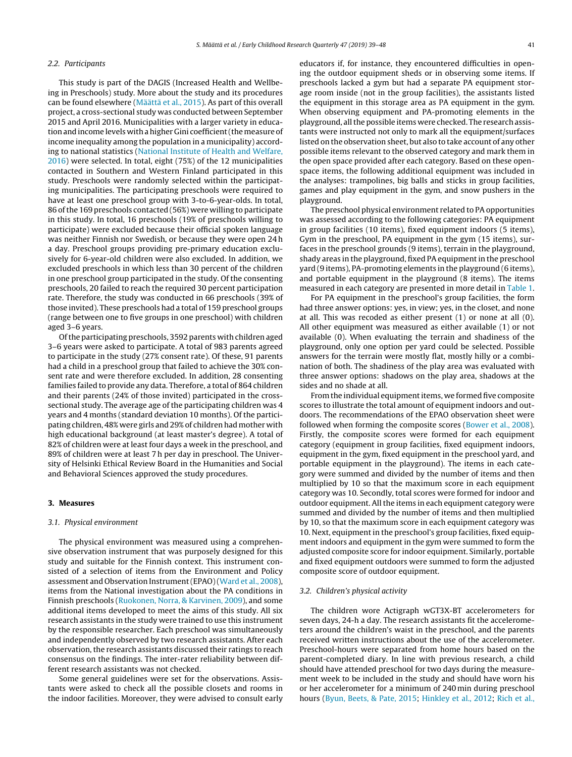#### 2.2. Participants

This study is part of the DAGIS (Increased Health and Wellbeing in Preschools) study. More about the study and its procedures can be found elsewhere [\(Määttä](#page-10-0) et [al.,](#page-10-0) [2015\).](#page-10-0) As part of this overall project, a cross-sectional study was conducted between September 2015 and April 2016. Municipalities with a larger variety in education and income levels with a higher Gini coefficient (the measure of income inequality among the population in a municipality) according to national statistics [\(National](#page-10-0) [Institute](#page-10-0) [of](#page-10-0) [Health](#page-10-0) [and](#page-10-0) [Welfare,](#page-10-0) [2016\)](#page-10-0) were selected. In total, eight (75%) of the 12 municipalities contacted in Southern and Western Finland participated in this study. Preschools were randomly selected within the participating municipalities. The participating preschools were required to have at least one preschool group with 3-to-6-year-olds. In total, 86 ofthe 169 preschools contacted (56%) were willing to participate in this study. In total, 16 preschools (19% of preschools willing to participate) were excluded because their official spoken language was neither Finnish nor Swedish, or because they were open 24 h a day. Preschool groups providing pre-primary education exclusively for 6-year-old children were also excluded. In addition, we excluded preschools in which less than 30 percent of the children in one preschool group participated in the study. Of the consenting preschools, 20 failed to reach the required 30 percent participation rate. Therefore, the study was conducted in 66 preschools (39% of those invited). These preschools had a total of 159 preschool groups (range between one to five groups in one preschool) with children aged 3–6 years.

Ofthe participating preschools, 3592 parents with children aged 3–6 years were asked to participate. A total of 983 parents agreed to participate in the study (27% consent rate). Of these, 91 parents had a child in a preschool group that failed to achieve the 30% consent rate and were therefore excluded. In addition, 28 consenting families failed to provide any data. Therefore, a total of 864 children and their parents (24% of those invited) participated in the crosssectional study. The average age of the participating children was 4 years and 4 months (standard deviation 10 months). Of the participating children, 48% were girls and 29% of children had mother with high educational background (at least master's degree). A total of 82% of children were at least four days a week in the preschool, and 89% of children were at least 7 h per day in preschool. The University of Helsinki Ethical Review Board in the Humanities and Social and Behavioral Sciences approved the study procedures.

#### **3. Measures**

#### 3.1. Physical environment

The physical environment was measured using a comprehensive observation instrument that was purposely designed for this study and suitable for the Finnish context. This instrument consisted of a selection of items from the Environment and Policy assessment and Observation Instrument(EPAO)([Ward](#page-10-0) et [al.,](#page-10-0) [2008\),](#page-10-0) items from the National investigation about the PA conditions in Finnish preschools [\(Ruokonen,](#page-10-0) [Norra,](#page-10-0) [&](#page-10-0) [Karvinen,](#page-10-0) [2009\),](#page-10-0) and some additional items developed to meet the aims of this study. All six research assistants in the study were trained to use this instrument by the responsible researcher. Each preschool was simultaneously and independently observed by two research assistants. After each observation, the research assistants discussed their ratings to reach consensus on the findings. The inter-rater reliability between different research assistants was not checked.

Some general guidelines were set for the observations. Assistants were asked to check all the possible closets and rooms in the indoor facilities. Moreover, they were advised to consult early educators if, for instance, they encountered difficulties in opening the outdoor equipment sheds or in observing some items. If preschools lacked a gym but had a separate PA equipment storage room inside (not in the group facilities), the assistants listed the equipment in this storage area as PA equipment in the gym. When observing equipment and PA-promoting elements in the playground, allthe possible items were checked. The research assistants were instructed not only to mark all the equipment/surfaces listed on the observation sheet, but also to take account of any other possible items relevant to the observed category and mark them in the open space provided after each category. Based on these openspace items, the following additional equipment was included in the analyses: trampolines, big balls and sticks in group facilities, games and play equipment in the gym, and snow pushers in the playground.

The preschool physical environment related to PA opportunities was assessed according to the following categories: PA equipment in group facilities (10 items), fixed equipment indoors (5 items), Gym in the preschool, PA equipment in the gym (15 items), surfaces in the preschool grounds (9 items), terrain in the playground, shady areas in the playground, fixed PA equipment in the preschool yard (9 items), PA-promoting elements in the playground (6 items), and portable equipment in the playground (8 items). The items measured in each category are presented in more detail in [Table](#page-4-0) 1.

For PA equipment in the preschool's group facilities, the form had three answer options: yes, in view; yes, in the closet, and none at all. This was recoded as either present (1) or none at all (0). All other equipment was measured as either available (1) or not available (0). When evaluating the terrain and shadiness of the playground, only one option per yard could be selected. Possible answers for the terrain were mostly flat, mostly hilly or a combination of both. The shadiness of the play area was evaluated with three answer options: shadows on the play area, shadows at the sides and no shade at all.

From the individual equipment items, we formed five composite scores to illustrate the total amount of equipment indoors and outdoors. The recommendations of the EPAO observation sheet were followed when forming the composite scores [\(Bower](#page-9-0) et [al.,](#page-9-0) [2008\).](#page-9-0) Firstly, the composite scores were formed for each equipment category (equipment in group facilities, fixed equipment indoors, equipment in the gym, fixed equipment in the preschool yard, and portable equipment in the playground). The items in each category were summed and divided by the number of items and then multiplied by 10 so that the maximum score in each equipment category was 10. Secondly, total scores were formed for indoor and outdoor equipment. All the items in each equipment category were summed and divided by the number of items and then multiplied by 10, so that the maximum score in each equipment category was 10. Next, equipment in the preschool's group facilities, fixed equipment indoors and equipment in the gym were summed to form the adjusted composite score for indoor equipment. Similarly, portable and fixed equipment outdoors were summed to form the adjusted composite score of outdoor equipment.

#### 3.2. Children's physical activity

The children wore Actigraph wGT3X-BT accelerometers for seven days, 24-h a day. The research assistants fit the accelerometers around the children's waist in the preschool, and the parents received written instructions about the use of the accelerometer. Preschool-hours were separated from home hours based on the parent-completed diary. In line with previous research, a child should have attended preschool for two days during the measurement week to be included in the study and should have worn his or her accelerometer for a minimum of 240 min during preschool hours ([Byun,](#page-9-0) [Beets,](#page-9-0) [&](#page-9-0) [Pate,](#page-9-0) [2015;](#page-9-0) [Hinkley](#page-10-0) et [al.,](#page-10-0) [2012;](#page-10-0) [Rich](#page-10-0) et [al.,](#page-10-0)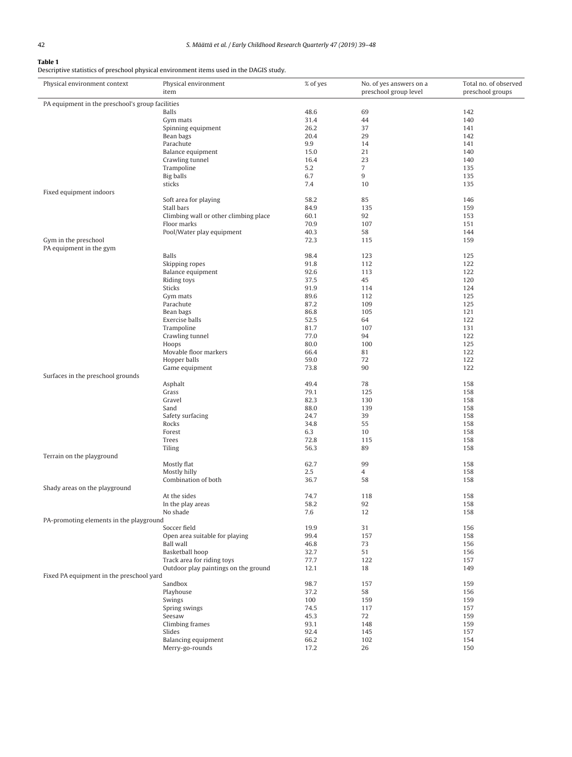## <span id="page-4-0"></span>**Table 1**

LECT THE STATISTICS OF PRESCHOOL physical environment items used in the DAGIS study.

| Physical environment context                     | Physical environment<br>item          | % of yes     | No. of yes answers on a<br>preschool group level | Total no. of observed<br>preschool groups |
|--------------------------------------------------|---------------------------------------|--------------|--------------------------------------------------|-------------------------------------------|
| PA equipment in the preschool's group facilities |                                       |              |                                                  |                                           |
|                                                  | <b>Balls</b>                          | 48.6         | 69                                               | 142                                       |
|                                                  | Gym mats                              | 31.4         | 44                                               | 140                                       |
|                                                  | Spinning equipment                    | 26.2         | 37                                               | 141                                       |
|                                                  | Bean bags                             | 20.4         | 29                                               | 142                                       |
|                                                  | Parachute                             | 9.9          | 14                                               | 141                                       |
|                                                  | Balance equipment                     | 15.0         | 21                                               | 140                                       |
|                                                  | Crawling tunnel                       | 16.4         | 23                                               | 140                                       |
|                                                  | Trampoline                            | 5.2          | $\overline{7}$                                   | 135                                       |
|                                                  | Big balls                             | 6.7          | 9                                                | 135                                       |
|                                                  | sticks                                | 7.4          | 10                                               | 135                                       |
| Fixed equipment indoors                          |                                       |              |                                                  |                                           |
|                                                  | Soft area for playing                 | 58.2         | 85                                               | 146                                       |
|                                                  | Stall bars                            | 84.9         | 135                                              | 159                                       |
|                                                  | Climbing wall or other climbing place | 60.1         | 92                                               | 153                                       |
|                                                  | Floor marks                           | 70.9         | 107                                              | 151                                       |
|                                                  | Pool/Water play equipment             | 40.3         | 58                                               | 144                                       |
| Gym in the preschool                             |                                       | 72.3         | 115                                              | 159                                       |
| PA equipment in the gym                          |                                       |              |                                                  |                                           |
|                                                  | <b>Balls</b>                          | 98.4         | 123                                              | 125                                       |
|                                                  | Skipping ropes                        | 91.8         | 112                                              | 122                                       |
|                                                  | Balance equipment                     | 92.6         | 113                                              | 122                                       |
|                                                  | Riding toys                           | 37.5         | 45                                               | 120                                       |
|                                                  | Sticks                                | 91.9         | 114                                              | 124                                       |
|                                                  | Gym mats                              | 89.6         | 112                                              | 125                                       |
|                                                  | Parachute                             | 87.2         | 109                                              | 125                                       |
|                                                  | Bean bags                             | 86.8         | 105                                              | 121                                       |
|                                                  | Exercise balls                        | 52.5         | 64                                               | 122                                       |
|                                                  | Trampoline                            | 81.7         | 107                                              | 131                                       |
|                                                  | Crawling tunnel                       | 77.0         | 94                                               | 122                                       |
|                                                  | Hoops                                 | 80.0         | 100                                              | 125                                       |
|                                                  | Movable floor markers                 | 66.4         | 81                                               | 122                                       |
|                                                  | Hopper balls                          | 59.0         | 72                                               | 122                                       |
|                                                  | Game equipment                        | 73.8         | 90                                               | 122                                       |
|                                                  |                                       |              |                                                  |                                           |
| Surfaces in the preschool grounds                |                                       | 49.4         | 78                                               | 158                                       |
|                                                  | Asphalt                               | 79.1         | 125                                              | 158                                       |
|                                                  | Grass                                 |              |                                                  |                                           |
|                                                  | Gravel                                | 82.3<br>88.0 | 130                                              | 158<br>158                                |
|                                                  | Sand                                  |              | 139                                              |                                           |
|                                                  | Safety surfacing                      | 24.7         | 39                                               | 158                                       |
|                                                  | Rocks                                 | 34.8         | 55                                               | 158                                       |
|                                                  | Forest                                | 6.3          | 10                                               | 158                                       |
|                                                  | Trees                                 | 72.8         | 115                                              | 158                                       |
|                                                  | Tiling                                | 56.3         | 89                                               | 158                                       |
| Terrain on the playground                        |                                       |              |                                                  |                                           |
|                                                  | Mostly flat                           | 62.7         | 99                                               | 158                                       |
|                                                  | Mostly hilly                          | 2.5          | 4                                                | 158                                       |
|                                                  | Combination of both                   | 36.7         | 58                                               | 158                                       |
| Shady areas on the playground                    |                                       |              |                                                  |                                           |
|                                                  | At the sides                          | 74.7         | 118                                              | 158                                       |
|                                                  | In the play areas                     | 58.2         | 92                                               | 158                                       |
|                                                  | No shade                              | 7.6          | 12                                               | 158                                       |
| PA-promoting elements in the playground          |                                       |              |                                                  |                                           |
|                                                  | Soccer field                          | 19.9         | 31                                               | 156                                       |
|                                                  | Open area suitable for playing        | 99.4         | 157                                              | 158                                       |
|                                                  | <b>Ball wall</b>                      | 46.8         | 73                                               | 156                                       |
|                                                  | Basketball hoop                       | 32.7         | 51                                               | 156                                       |
|                                                  | Track area for riding toys            | 77.7         | 122                                              | 157                                       |
|                                                  | Outdoor play paintings on the ground  | 12.1         | 18                                               | 149                                       |
| Fixed PA equipment in the preschool yard         |                                       |              |                                                  |                                           |
|                                                  | Sandbox                               | 98.7         | 157                                              | 159                                       |
|                                                  | Playhouse                             | 37.2         | 58                                               | 156                                       |
|                                                  | Swings                                | 100          | 159                                              | 159                                       |
|                                                  | Spring swings                         | 74.5         | 117                                              | 157                                       |
|                                                  | Seesaw                                | 45.3         | 72                                               | 159                                       |
|                                                  | Climbing frames                       | 93.1         | 148                                              | 159                                       |
|                                                  | Slides                                | 92.4         | 145                                              | 157                                       |
|                                                  | <b>Balancing equipment</b>            | 66.2         | 102                                              | 154                                       |
|                                                  | Merry-go-rounds                       | 17.2         | 26                                               | 150                                       |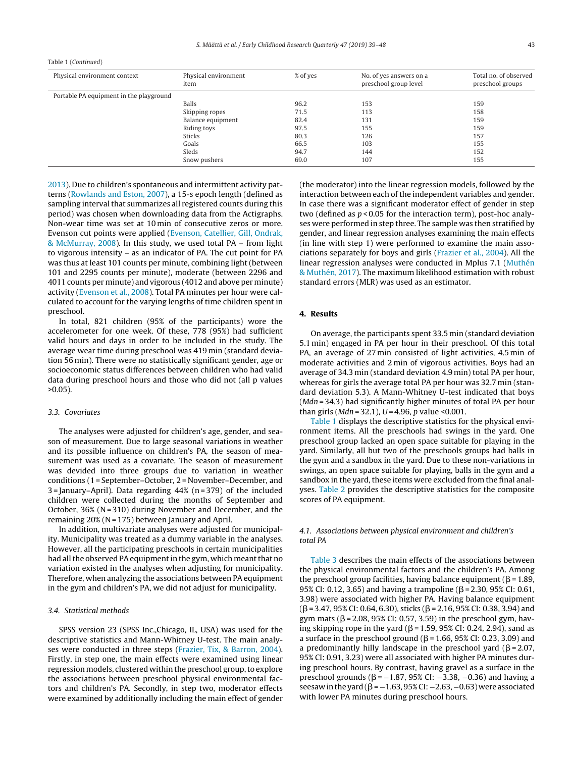#### Table 1 (Continued)

| Physical environment context            | Physical environment<br>item | % of yes | No. of yes answers on a<br>preschool group level | Total no. of observed<br>preschool groups |
|-----------------------------------------|------------------------------|----------|--------------------------------------------------|-------------------------------------------|
| Portable PA equipment in the playground |                              |          |                                                  |                                           |
|                                         | <b>Balls</b>                 | 96.2     | 153                                              | 159                                       |
|                                         | Skipping ropes               | 71.5     | 113                                              | 158                                       |
|                                         | Balance equipment            | 82.4     | 131                                              | 159                                       |
|                                         | Riding toys                  | 97.5     | 155                                              | 159                                       |
|                                         | <b>Sticks</b>                | 80.3     | 126                                              | 157                                       |
|                                         | Goals                        | 66.5     | 103                                              | 155                                       |
|                                         | Sleds                        | 94.7     | 144                                              | 152                                       |
|                                         | Snow pushers                 | 69.0     | 107                                              | 155                                       |

[2013\).](#page-10-0) Due to children's spontaneous and intermittent activity patterns ([Rowlands](#page-10-0) [and](#page-10-0) [Eston,](#page-10-0) [2007\),](#page-10-0) a 15-s epoch length (defined as sampling interval that summarizes all registered counts during this period) was chosen when downloading data from the Actigraphs. Non-wear time was set at 10 min of consecutive zeros or more. Evenson cut points were applied ([Evenson,](#page-9-0) [Catellier,](#page-9-0) [Gill,](#page-9-0) [Ondrak,](#page-9-0) [&](#page-9-0) [McMurray,](#page-9-0) [2008\).](#page-9-0) In this study, we used total PA – from light to vigorous intensity – as an indicator of PA. The cut point for PA was thus at least 101 counts per minute, combining light (between 101 and 2295 counts per minute), moderate (between 2296 and 4011 counts per minute) and vigorous (4012 and above per minute) activity [\(Evenson](#page-9-0) et [al.,](#page-9-0) [2008\).](#page-9-0) Total PA minutes per hour were calculated to account for the varying lengths of time children spent in preschool.

In total, 821 children (95% of the participants) wore the accelerometer for one week. Of these, 778 (95%) had sufficient valid hours and days in order to be included in the study. The average wear time during preschool was 419 min (standard deviation 56 min). There were no statistically significant gender, age or socioeconomic status differences between children who had valid data during preschool hours and those who did not (all p values  $>0.05$ ).

#### 3.3. Covariates

The analyses were adjusted for children's age, gender, and season of measurement. Due to large seasonal variations in weather and its possible influence on children's PA, the season of measurement was used as a covariate. The season of measurement was devided into three groups due to variation in weather conditions (1 = September–October, 2 = November–December, and 3 = January–April). Data regarding 44% (n = 379) of the included children were collected during the months of September and October, 36% (N = 310) during November and December, and the remaining  $20\%$  (N = 175) between January and April.

In addition, multivariate analyses were adjusted for municipality. Municipality was treated as a dummy variable in the analyses. However, all the participating preschools in certain municipalities had all the observed PA equipment in the gym, which meant that no variation existed in the analyses when adjusting for municipality. Therefore, when analyzing the associations between PA equipment in the gym and children's PA, we did not adjust for municipality.

#### 3.4. Statistical methods

SPSS version 23 (SPSS Inc.,Chicago, IL, USA) was used for the descriptive statistics and Mann-Whitney U-test. The main analyses were conducted in three steps ([Frazier,](#page-10-0) [Tix,](#page-10-0) [&](#page-10-0) [Barron,](#page-10-0) [2004\).](#page-10-0) Firstly, in step one, the main effects were examined using linear regression models, clustered within the preschool group, to explore the associations between preschool physical environmental factors and children's PA. Secondly, in step two, moderator effects were examined by additionally including the main effect of gender (the moderator) into the linear regression models, followed by the interaction between each of the independent variables and gender. In case there was a significant moderator effect of gender in step two (defined as  $p < 0.05$  for the interaction term), post-hoc analyses were performed in step three. The sample was then stratified by gender, and linear regression analyses examining the main effects (in line with step 1) were performed to examine the main associations separately for boys and girls [\(Frazier](#page-10-0) et [al.,](#page-10-0) [2004\).](#page-10-0) All the linear regression analyses were conducted in Mplus 7.1 ([Muthén](#page-10-0) [&](#page-10-0) [Muthén,](#page-10-0) [2017\).](#page-10-0) The maximum likelihood estimation with robust standard errors (MLR) was used as an estimator.

#### **4. Results**

On average, the participants spent 33.5 min (standard deviation 5.1 min) engaged in PA per hour in their preschool. Of this total PA, an average of 27 min consisted of light activities, 4.5 min of moderate activities and 2 min of vigorous activities. Boys had an average of 34.3 min (standard deviation 4.9 min) total PA per hour, whereas for girls the average total PA per hour was 32.7 min (standard deviation 5.3). A Mann-Whitney U-test indicated that boys  $(Mdn = 34.3)$  had significantly higher minutes of total PA per hour than girls (*Mdn* = 32.1),  $U = 4.96$ , *p* value <0.001.

[Table](#page-4-0) 1 displays the descriptive statistics for the physical environment items. All the preschools had swings in the yard. One preschool group lacked an open space suitable for playing in the yard. Similarly, all but two of the preschools groups had balls in the gym and a sandbox in the yard. Due to these non-variations in swings, an open space suitable for playing, balls in the gym and a sandbox in the yard, these items were excluded from the final analyses. [Table](#page-6-0) 2 provides the descriptive statistics for the composite scores of PA equipment.

### 4.1. Associations between physical environment and children's total PA

[Table](#page-7-0) 3 describes the main effects of the associations between the physical environmental factors and the children's PA. Among the preschool group facilities, having balance equipment ( $\beta$  = 1.89, 95% CI: 0.12, 3.65) and having a trampoline (β = 2.30, 95% CI: 0.61, 3.98) were associated with higher PA. Having balance equipment  $(\beta$  = 3.47, 95% CI: 0.64, 6.30), sticks ( $\beta$  = 2.16, 95% CI: 0.38, 3.94) and gym mats (β = 2.08, 95% CI: 0.57, 3.59) in the preschool gym, having skipping rope in the yard ( $\beta$  = 1.59, 95% CI: 0.24, 2.94), sand as a surface in the preschool ground ( $\beta$  = 1.66, 95% CI: 0.23, 3.09) and a predominantly hilly landscape in the preschool yard ( $\beta$ =2.07, 95% CI: 0.91, 3.23) were all associated with higher PA minutes during preschool hours. By contrast, having gravel as a surface in the  $preschool$  grounds (β = −1.87, 95% CI: −3.38, −0.36) and having a seesaw in the yard ( $\beta$  =  $-1.63, 95\%$  CI:  $-2.63, -0.63$ ) were associated with lower PA minutes during preschool hours.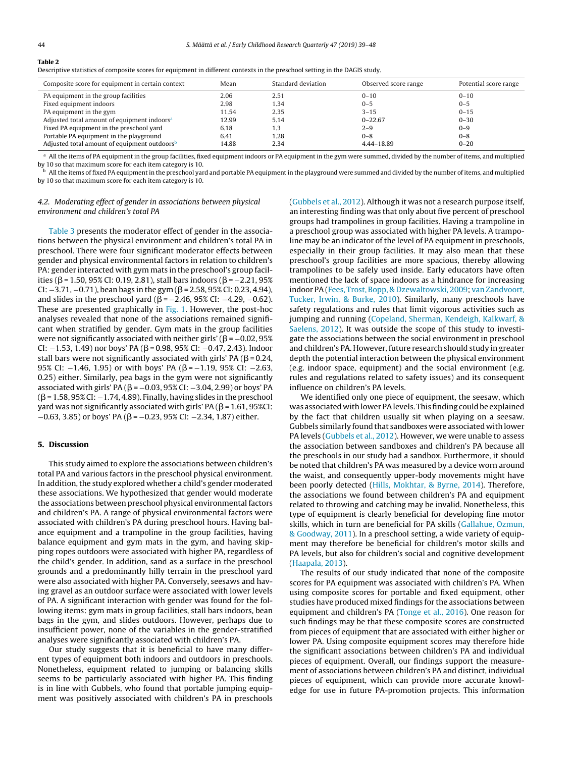#### <span id="page-6-0"></span>**Table 2**

Descriptive statistics of composite scores for equipment in different contexts in the preschool setting in the DAGIS study.

| Composite score for equipment in certain context         | Mean  | Standard deviation | Observed score range | Potential score range |
|----------------------------------------------------------|-------|--------------------|----------------------|-----------------------|
| PA equipment in the group facilities                     | 2.06  | 2.51               | $0 - 10$             | $0 - 10$              |
| Fixed equipment indoors                                  | 2.98  | 1.34               | $0 - 5$              | $0 - 5$               |
| PA equipment in the gym                                  | 11.54 | 2.35               | $3 - 15$             | $0 - 15$              |
| Adjusted total amount of equipment indoors <sup>a</sup>  | 12.99 | 5.14               | $0 - 22.67$          | $0 - 30$              |
| Fixed PA equipment in the preschool yard                 | 6.18  | 1.3                | $2 - 9$              | $0 - 9$               |
| Portable PA equipment in the playground                  | 6.41  | 1.28               | $0 - 8$              | $0 - 8$               |
| Adjusted total amount of equipment outdoors <sup>b</sup> | 14.88 | 2.34               | 4.44-18.89           | $0 - 20$              |

<sup>a</sup> All the items of PA equipment in the group facilities, fixed equipment indoors or PA equipment in the gym were summed, divided by the number of items, and multiplied

by 10 so that maximum score for each item category is 10.<br><sup>b</sup> All the items of fixed PA equipment in the preschool yard and portable PA equipment in the playground were summed and divided by the number of items, and multip by 10 so that maximum score for each item category is 10.

### 4.2. Moderating effect of gender in associations between physical environment and children's total PA

[Table](#page-7-0) 3 presents the moderator effect of gender in the associations between the physical environment and children's total PA in preschool. There were four significant moderator effects between gender and physical environmental factors in relation to children's PA: gender interacted with gym mats in the preschool's group facilities (β = 1.50, 95% CI: 0.19, 2.81), stall bars indoors (β =  $-2.21$ , 95%  $CI: −3.71, −0.71$  ), bean bags in the gym ( $β = 2.58, 95% CI: 0.23, 4.94$  ), and slides in the preschool yard ( $\beta$ = $-2.46$ , 95% CI:  $-4.29$ ,  $-0.62$ ). These are presented graphically in [Fig.](#page-8-0) 1. However, the post-hoc analyses revealed that none of the associations remained significant when stratified by gender. Gym mats in the group facilities were not significantly associated with neither girls' ( $\beta$  =  $-0.02$ ,  $95\%$ CI: −1.53, 1.49) nor boys' PA (β = 0.98, 95% CI: −0.47, 2.43). Indoor stall bars were not significantly associated with girls' PA ( $\beta$  = 0.24, 95% CI:  $-1.46$ , 1.95) or with boys' PA (β =  $-1.19$ , 95% CI:  $-2.63$ , 0.25) either. Similarly, pea bags in the gym were not significantly associated with girls' PA ( $\beta$  =  $-0.03$ , 95% CI:  $-3.04$ , 2.99) or boys' PA  $(\beta$  = 1.58, 95% CI:  $-1.74$ , 4.89). Finally, having slides in the preschool yard was not significantly associated with girls' PA ( $\beta$  = 1.61, 95%CI: −0.63, 3.85) or boys' PA (β = −0.23, 95% CI: −2.34, 1.87) either.

#### **5. Discussion**

This study aimed to explore the associations between children's total PA and various factors in the preschool physical environment. In addition, the study explored whether a child's gender moderated these associations. We hypothesized that gender would moderate the associations between preschool physical environmental factors and children's PA. A range of physical environmental factors were associated with children's PA during preschool hours. Having balance equipment and a trampoline in the group facilities, having balance equipment and gym mats in the gym, and having skipping ropes outdoors were associated with higher PA, regardless of the child's gender. In addition, sand as a surface in the preschool grounds and a predominantly hilly terrain in the preschool yard were also associated with higher PA. Conversely, seesaws and having gravel as an outdoor surface were associated with lower levels of PA. A significant interaction with gender was found for the following items: gym mats in group facilities, stall bars indoors, bean bags in the gym, and slides outdoors. However, perhaps due to insufficient power, none of the variables in the gender-stratified analyses were significantly associated with children's PA.

Our study suggests that it is beneficial to have many different types of equipment both indoors and outdoors in preschools. Nonetheless, equipment related to jumping or balancing skills seems to be particularly associated with higher PA. This finding is in line with Gubbels, who found that portable jumping equipment was positively associated with children's PA in preschools

[\(Gubbels](#page-10-0) et [al.,](#page-10-0) [2012\).](#page-10-0) Although it was not a research purpose itself, an interesting finding was that only about five percent of preschool groups had trampolines in group facilities. Having a trampoline in a preschool group was associated with higher PA levels. A trampoline may be an indicator of the level of PA equipment in preschools, especially in their group facilities. It may also mean that these preschool's group facilities are more spacious, thereby allowing trampolines to be safely used inside. Early educators have often mentioned the lack of space indoors as a hindrance for increasing indoor PA ([Fees,](#page-9-0) [Trost,](#page-9-0) [Bopp,](#page-9-0) [&](#page-9-0) [Dzewaltowski,](#page-9-0) [2009;](#page-9-0) [van](#page-10-0) [Zandvoort,](#page-10-0) [Tucker,](#page-10-0) [Irwin,](#page-10-0) [&](#page-10-0) [Burke,](#page-10-0) [2010\).](#page-10-0) Similarly, many preschools have safety regulations and rules that limit vigorous activities such as jumping and running ([Copeland,](#page-9-0) [Sherman,](#page-9-0) [Kendeigh,](#page-9-0) [Kalkwarf,](#page-9-0) [&](#page-9-0) [Saelens,](#page-9-0) [2012\).](#page-9-0) It was outside the scope of this study to investigate the associations between the social environment in preschool and children's PA. However, future research should study in greater depth the potential interaction between the physical environment (e.g. indoor space, equipment) and the social environment (e.g. rules and regulations related to safety issues) and its consequent influence on children's PA levels.

We identified only one piece of equipment, the seesaw, which was associated with lower PA levels. This finding could be explained by the fact that children usually sit when playing on a seesaw. Gubbels similarly found that sandboxes were associated with lower PA levels ([Gubbels](#page-10-0) et [al.,](#page-10-0) [2012\).](#page-10-0) However, we were unable to assess the association between sandboxes and children's PA because all the preschools in our study had a sandbox. Furthermore, it should be noted that children's PA was measured by a device worn around the waist, and consequently upper-body movements might have been poorly detected [\(Hills,](#page-10-0) [Mokhtar,](#page-10-0) [&](#page-10-0) [Byrne,](#page-10-0) [2014\).](#page-10-0) Therefore, the associations we found between children's PA and equipment related to throwing and catching may be invalid. Nonetheless, this type of equipment is clearly beneficial for developing fine motor skills, which in turn are beneficial for PA skills [\(Gallahue,](#page-10-0) [Ozmun,](#page-10-0) [&](#page-10-0) [Goodway,](#page-10-0) [2011\).](#page-10-0) In a preschool setting, a wide variety of equipment may therefore be beneficial for children's motor skills and PA levels, but also for children's social and cognitive development [\(Haapala,](#page-10-0) [2013\).](#page-10-0)

The results of our study indicated that none of the composite scores for PA equipment was associated with children's PA. When using composite scores for portable and fixed equipment, other studies have produced mixed findings for the associations between equipment and children's PA [\(Tonge](#page-10-0) et [al.,](#page-10-0) [2016\).](#page-10-0) One reason for such findings may be that these composite scores are constructed from pieces of equipment that are associated with either higher or lower PA. Using composite equipment scores may therefore hide the significant associations between children's PA and individual pieces of equipment. Overall, our findings support the measurement of associations between children's PA and distinct, individual pieces of equipment, which can provide more accurate knowledge for use in future PA-promotion projects. This information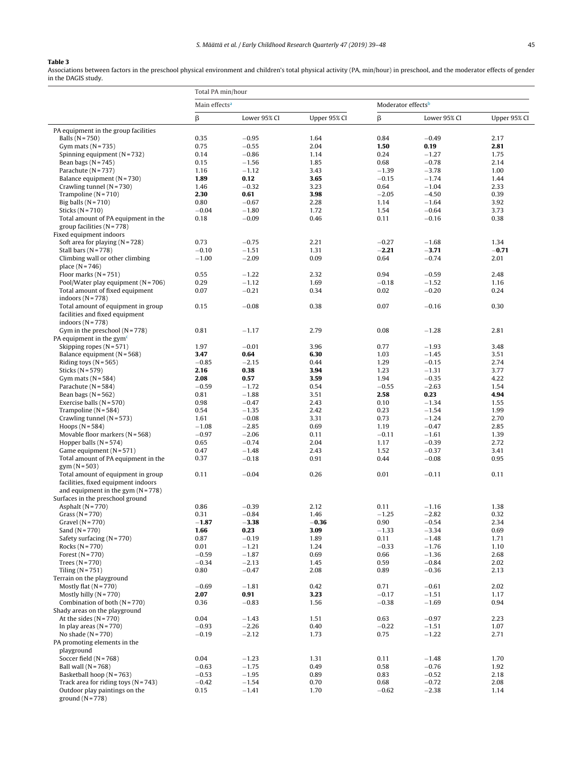## <span id="page-7-0"></span>**Table 3**

Associations between factors in the preschool physical environment and children's total physical activity (PA, min/hour) in preschool, and the moderator effects of gender in the DAGIS study.

|                                                                           | Total PA min/hour         |                    |              |                                |                    |              |
|---------------------------------------------------------------------------|---------------------------|--------------------|--------------|--------------------------------|--------------------|--------------|
|                                                                           | Main effects <sup>a</sup> |                    |              | Moderator effects <sup>b</sup> |                    |              |
|                                                                           | β                         | Lower 95% CI       | Upper 95% CI | β                              | Lower 95% CI       | Upper 95% CI |
| PA equipment in the group facilities                                      |                           |                    |              |                                |                    |              |
| Balls ( $N = 750$ )                                                       | 0.35<br>0.75              | $-0.95$            | 1.64<br>2.04 | 0.84<br>1.50                   | $-0.49$<br>0.19    | 2.17<br>2.81 |
| Gym mats $(N = 735)$                                                      |                           | $-0.55$<br>$-0.86$ |              |                                | $-1.27$            |              |
| Spinning equipment $(N = 732)$                                            | 0.14                      |                    | 1.14         | 0.24                           |                    | 1.75         |
| Bean bags $(N = 745)$                                                     | 0.15                      | $-1.56$<br>$-1.12$ | 1.85<br>3.43 | 0.68                           | $-0.78$<br>$-3.78$ | 2.14<br>1.00 |
| Parachute (N = 737)                                                       | 1.16<br>1.89              | 0.12               |              | $-1.39$<br>$-0.15$             | $-1.74$            | 1.44         |
| Balance equipment $(N = 730)$<br>Crawling tunnel (N = 730)                | 1.46                      | $-0.32$            | 3.65<br>3.23 | 0.64                           | $-1.04$            | 2.33         |
| Trampoline $(N = 710)$                                                    | 2.30                      | 0.61               | 3.98         | $-2.05$                        | $-4.50$            | 0.39         |
| Big balls $(N = 710)$                                                     | 0.80                      | $-0.67$            | 2.28         | 1.14                           | $-1.64$            | 3.92         |
| Sticks ( $N = 710$ )                                                      | $-0.04$                   | $-1.80$            | 1.72         | 1.54                           | $-0.64$            | 3.73         |
| Total amount of PA equipment in the                                       | 0.18                      | $-0.09$            | 0.46         | 0.11                           | $-0.16$            | 0.38         |
| group facilities $(N = 778)$                                              |                           |                    |              |                                |                    |              |
| Fixed equipment indoors                                                   |                           |                    |              |                                |                    |              |
| Soft area for playing $(N = 728)$                                         | 0.73                      | $-0.75$            | 2.21         | $-0.27$                        | $-1.68$            | 1.34         |
| Stall bars ( $N = 778$ )                                                  | $-0.10$                   | $-1.51$            | 1.31         | $-2.21$                        | $-3.71$            | $-0.71$      |
| Climbing wall or other climbing<br>place $(N = 746)$                      | $-1.00$                   | $-2.09$            | 0.09         | 0.64                           | $-0.74$            | 2.01         |
| Floor marks ( $N = 751$ )                                                 | 0.55                      | $-1.22$            | 2.32         | 0.94                           | $-0.59$            | 2.48         |
| Pool/Water play equipment $(N = 706)$                                     | 0.29                      | $-1.12$            | 1.69         | $-0.18$                        | $-1.52$            | 1.16         |
| Total amount of fixed equipment                                           | 0.07                      | $-0.21$            | 0.34         | 0.02                           | $-0.20$            | 0.24         |
| indoors $(N = 778)$                                                       |                           |                    |              |                                |                    |              |
| Total amount of equipment in group<br>facilities and fixed equipment      | 0.15                      | $-0.08$            | 0.38         | 0.07                           | $-0.16$            | 0.30         |
| indoors $(N = 778)$                                                       |                           |                    |              |                                |                    |              |
| Gym in the preschool $(N = 778)$                                          | 0.81                      | $-1.17$            | 2.79         | 0.08                           | $-1.28$            | 2.81         |
| PA equipment in the gym $c$<br>Skipping ropes $(N = 571)$                 |                           | $-0.01$            | 3.96         | 0.77                           | $-1.93$            | 3.48         |
| Balance equipment $(N = 568)$                                             | 1.97<br>3.47              | 0.64               | 6.30         | 1.03                           | $-1.45$            | 3.51         |
| Riding toys ( $N = 565$ )                                                 | $-0.85$                   | $-2.15$            | 0.44         | 1.29                           | $-0.15$            | 2.74         |
| Sticks ( $N = 579$ )                                                      | 2.16                      | 0.38               | 3.94         | 1.23                           | $-1.31$            | 3.77         |
| Gym mats ( $N = 584$ )                                                    | 2.08                      | 0.57               | 3.59         | 1.94                           | $-0.35$            | 4.22         |
| Parachute ( $N = 584$ )                                                   | $-0.59$                   | $-1.72$            | 0.54         | $-0.55$                        | $-2.63$            | 1.54         |
| Bean bags ( $N = 562$ )                                                   | 0.81                      | $-1.88$            | 3.51         | 2.58                           | 0.23               | 4.94         |
| Exercise balls $(N = 570)$                                                | 0.98                      | $-0.47$            | 2.43         | 0.10                           | $-1.34$            | 1.55         |
| Trampoline ( $N = 584$ )                                                  | 0.54                      | $-1.35$            | 2.42         | 0.23                           | $-1.54$            | 1.99         |
| Crawling tunnel ( $N = 573$ )                                             | 1.61                      | $-0.08$            | 3.31         | 0.73                           | $-1.24$            | 2.70         |
| Hoops $(N = 584)$                                                         | $-1.08$                   | $-2.85$            | 0.69         | 1.19                           | $-0.47$            | 2.85         |
| Movable floor markers $(N = 568)$                                         | $-0.97$                   | $-2.06$            | 0.11         | $-0.11$                        | $-1.61$            | 1.39         |
| Hopper balls $(N = 574)$                                                  | 0.65                      | $-0.74$            | 2.04         | 1.17                           | $-0.39$            | 2.72         |
| Game equipment $(N = 571)$                                                | 0.47                      | $-1.48$            | 2.43         | 1.52                           | $-0.37$            | 3.41         |
| Total amount of PA equipment in the                                       | 0.37                      | $-0.18$            | 0.91         | 0.44                           | $-0.08$            | 0.95         |
| $gym (N = 503)$                                                           |                           |                    |              |                                |                    |              |
| Total amount of equipment in group<br>facilities, fixed equipment indoors | 0.11                      | $-0.04$            | 0.26         | 0.01                           | $-0.11$            | 0.11         |
| and equipment in the gym $(N = 778)$                                      |                           |                    |              |                                |                    |              |
| Surfaces in the preschool ground                                          |                           |                    |              |                                |                    |              |
| Asphalt $(N=770)$                                                         | 0.86                      | $-0.39$            | 2.12         | 0.11                           | $-1.16$            | 1.38         |
| Grass ( $N = 770$ )                                                       | 0.31                      | $-0.84$            | 1.46         | $-1.25$                        | $-2.82$            | 0.32         |
| Gravel $(N = 770)$                                                        | $-1.87$                   | $-3.38$            | $-0.36$      | 0.90                           | $-0.54$            | 2.34         |
| Sand $(N = 770)$                                                          | 1.66                      | 0.23               | 3.09         | $-1.33$                        | $-3.34$            | 0.69         |
| Safety surfacing $(N = 770)$                                              | 0.87                      | $-0.19$            | 1.89         | 0.11                           | $-1.48$            | 1.71         |
| Rocks ( $N = 770$ )                                                       | 0.01                      | $-1.21$            | 1.24         | $-0.33$                        | $-1.76$            | 1.10         |
| Forest $(N = 770)$                                                        | $-0.59$                   | $-1.87$            | 0.69         | 0.66                           | $-1.36$            | 2.68         |
| Trees $(N = 770)$                                                         | $-0.34$                   | $-2.13$            | 1.45         | 0.59                           | $-0.84$            | 2.02         |
| Tiling $(N = 751)$                                                        | 0.80                      | $-0.47$            | 2.08         | 0.89                           | $-0.36$            | 2.13         |
| Terrain on the playground                                                 |                           |                    |              |                                |                    |              |
| Mostly flat $(N = 770)$                                                   | $-0.69$                   | $-1.81$            | 0.42         | 0.71                           | $-0.61$            | 2.02         |
| Mostly hilly $(N = 770)$                                                  | 2.07                      | 0.91               | 3.23         | $-0.17$                        | $-1.51$            | 1.17         |
| Combination of both $(N = 770)$                                           | 0.36                      | $-0.83$            | 1.56         | $-0.38$                        | $-1.69$            | 0.94         |
| Shady areas on the playground                                             |                           |                    |              |                                |                    |              |
| At the sides $(N = 770)$                                                  | 0.04                      | $-1.43$            | 1.51         | 0.63                           | $-0.97$            | 2.23         |
| In play areas $(N = 770)$                                                 | $-0.93$                   | $-2.26$            | $0.40\,$     | $-0.22$                        | $-1.51$            | 1.07         |
| No shade $(N = 770)$                                                      | $-0.19$                   | $-2.12$            | 1.73         | 0.75                           | $-1.22$            | 2.71         |
| PA promoting elements in the                                              |                           |                    |              |                                |                    |              |
| playground                                                                |                           |                    |              |                                |                    |              |
| Soccer field $(N = 768)$                                                  | 0.04                      | $-1.23$            | 1.31         | 0.11                           | $-1.48$            | 1.70         |
| Ball wall $(N = 768)$                                                     | $-0.63$                   | $-1.75$            | 0.49         | 0.58                           | $-0.76$            | 1.92         |
| Basketball hoop (N = 763)<br>Track area for riding toys $(N = 743)$       | $-0.53$<br>$-0.42$        | $-1.95$<br>$-1.54$ | 0.89         | 0.83<br>0.68                   | $-0.52$<br>$-0.72$ | 2.18<br>2.08 |
| Outdoor play paintings on the                                             | 0.15                      | $-1.41$            | 0.70<br>1.70 | $-0.62$                        | $-2.38$            | 1.14         |
| ground $(N = 778)$                                                        |                           |                    |              |                                |                    |              |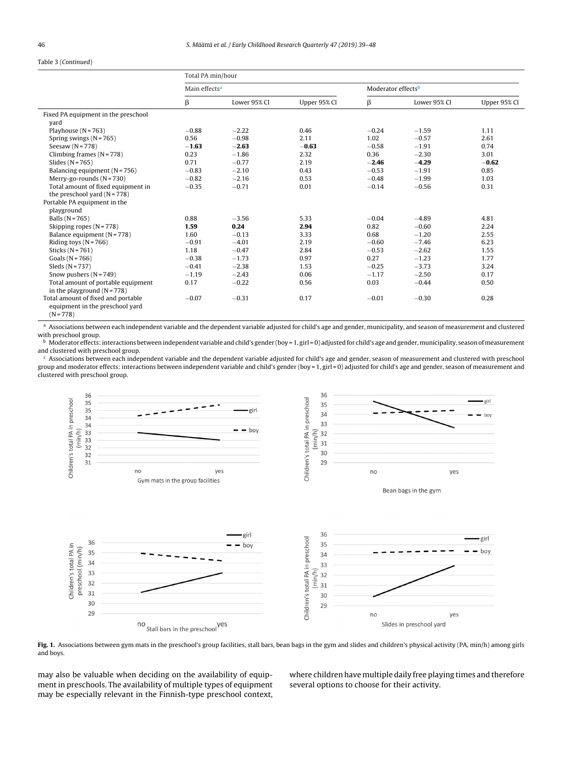#### <span id="page-8-0"></span>Table 3 (Continued)

|                                     | Total PA min/hour         |              |              |                                |              |              |
|-------------------------------------|---------------------------|--------------|--------------|--------------------------------|--------------|--------------|
|                                     | Main effects <sup>a</sup> |              |              | Moderator effects <sup>b</sup> |              |              |
|                                     | β                         | Lower 95% CI | Upper 95% CI | β                              | Lower 95% CI | Upper 95% CI |
| Fixed PA equipment in the preschool |                           |              |              |                                |              |              |
| yard                                |                           |              |              |                                |              |              |
| Playhouse ( $N = 763$ )             | $-0.88$                   | $-2.22$      | 0.46         | $-0.24$                        | $-1.59$      | 1.11         |
| Spring swings $(N = 765)$           | 0.56                      | $-0.98$      | 2.11         | 1.02                           | $-0.57$      | 2.61         |
| Seesaw $(N = 778)$                  | $-1.63$                   | $-2.63$      | $-0.63$      | $-0.58$                        | $-1.91$      | 0.74         |
| Climbing frames $(N = 778)$         | 0.23                      | $-1.86$      | 2.32         | 0.36                           | $-2.30$      | 3.01         |
| Slides ( $N = 765$ )                | 0.71                      | $-0.77$      | 2.19         | $-2.46$                        | $-4.29$      | $-0.62$      |
| Balancing equipment $(N = 756)$     | $-0.83$                   | $-2.10$      | 0.43         | $-0.53$                        | $-1.91$      | 0.85         |
| Merry-go-rounds $(N = 730)$         | $-0.82$                   | $-2.16$      | 0.53         | $-0.48$                        | $-1.99$      | 1.03         |
| Total amount of fixed equipment in  | $-0.35$                   | $-0.71$      | 0.01         | $-0.14$                        | $-0.56$      | 0.31         |
| the preschool yard $(N = 778)$      |                           |              |              |                                |              |              |
| Portable PA equipment in the        |                           |              |              |                                |              |              |
| playground                          |                           |              |              |                                |              |              |
| Balls ( $N = 765$ )                 | 0.88                      | $-3.56$      | 5.33         | $-0.04$                        | $-4.89$      | 4.81         |
| Skipping ropes $(N = 778)$          | 1.59                      | 0.24         | 2.94         | 0.82                           | $-0.60$      | 2.24         |
| Balance equipment $(N = 778)$       | 1.60                      | $-0.13$      | 3.33         | 0.68                           | $-1.20$      | 2.55         |
| Riding toys ( $N = 766$ )           | $-0.91$                   | $-4.01$      | 2.19         | $-0.60$                        | $-7.46$      | 6.23         |
| Sticks ( $N = 761$ )                | 1.18                      | $-0.47$      | 2.84         | $-0.53$                        | $-2.62$      | 1.55         |
| Goals ( $N = 766$ )                 | $-0.38$                   | $-1.73$      | 0.97         | 0.27                           | $-1.23$      | 1.77         |
| Sleds $(N = 737)$                   | $-0.41$                   | $-2.38$      | 1.53         | $-0.25$                        | $-3.73$      | 3.24         |
| Snow pushers $(N = 749)$            | $-1.19$                   | $-2.43$      | 0.06         | $-1.17$                        | $-2.50$      | 0.17         |
| Total amount of portable equipment  | 0.17                      | $-0.22$      | 0.56         | 0.03                           | $-0.44$      | 0.50         |
| in the playground $(N = 778)$       |                           |              |              |                                |              |              |
| Total amount of fixed and portable  | $-0.07$                   | $-0.31$      | 0.17         | $-0.01$                        | $-0.30$      | 0.28         |
| equipment in the preschool yard     |                           |              |              |                                |              |              |
| $(N = 778)$                         |                           |              |              |                                |              |              |

<sup>a</sup> Associations between each independent variable and the dependent variable adjusted for child's age and gender, municipality, and season of measurement and clustered with preschool group.

b Moderator effects: interactions between independent variable and child's gender (boy = 1, girl = 0) adjusted for child's age and gender, municipality, season of measurement and clustered with preschool group.

 $c$  Associations between each independent variable and the dependent variable adjusted for child's age and gender, season of measurement and clustered with preschool group and moderator effects: interactions between independent variable and child's gender (boy = 1, girl = 0) adjusted for child's age and gender, season of measurement and clustered with preschool group.



**Fig. 1.** Associations between gym mats in the preschool's group facilities, stall bars, bean bags in the gym and slides and children's physical activity (PA, min/h) among girls and boys.

may also be valuable when deciding on the availability of equipment in preschools. The availability of multiple types of equipment may be especially relevant in the Finnish-type preschool context,

where children have multiple daily free playing times and therefore several options to choose for their activity.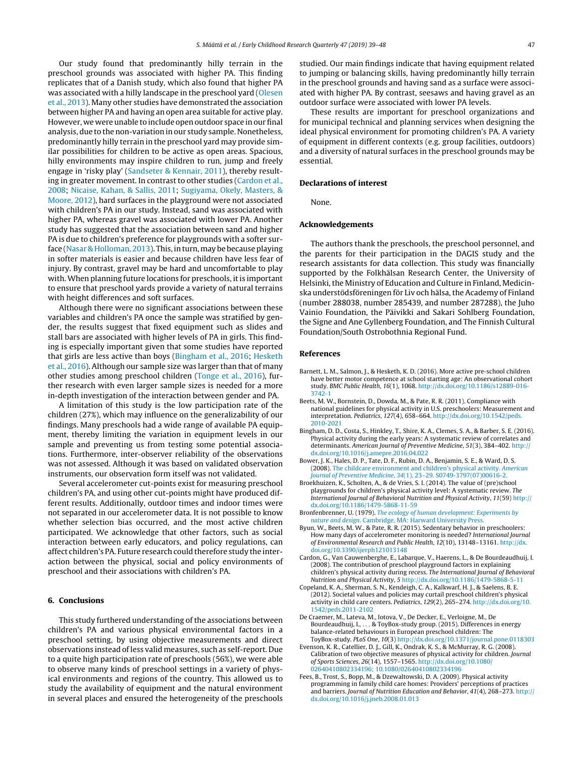<span id="page-9-0"></span>Our study found that predominantly hilly terrain in the preschool grounds was associated with higher PA. This finding replicates that of a Danish study, which also found that higher PA was associated with a hilly landscape in the preschool yard [\(Olesen](#page-10-0) et [al.,](#page-10-0) [2013\).](#page-10-0) Many other studies have demonstrated the association between higher PA and having an open area suitable for active play. However, we were unable to include open outdoor space in our final analysis, due to the non-variation in our study sample. Nonetheless, predominantly hilly terrain in the preschool yard may provide similar possibilities for children to be active as open areas. Spacious, hilly environments may inspire children to run, jump and freely engage in 'risky play' [\(Sandseter](#page-10-0) [&](#page-10-0) [Kennair,](#page-10-0) [2011\),](#page-10-0) thereby resulting in greater movement. In contrast to other studies (Cardon et al., 2008; [Nicaise,](#page-10-0) [Kahan,](#page-10-0) [&](#page-10-0) [Sallis,](#page-10-0) [2011;](#page-10-0) [Sugiyama,](#page-10-0) [Okely,](#page-10-0) [Masters,](#page-10-0) [&](#page-10-0) [Moore,](#page-10-0) [2012\),](#page-10-0) hard surfaces in the playground were not associated with children's PA in our study. Instead, sand was associated with higher PA, whereas gravel was associated with lower PA. Another study has suggested that the association between sand and higher PA is due to children's preference for playgrounds with a softer sur-face [\(Nasar](#page-10-0) [&](#page-10-0) [Holloman,](#page-10-0) [2013\).](#page-10-0) This, in turn, may be because playing in softer materials is easier and because children have less fear of injury. By contrast, gravel may be hard and uncomfortable to play with. When planning future locations for preschools, it is important to ensure that preschool yards provide a variety of natural terrains with height differences and soft surfaces.

Although there were no significant associations between these variables and children's PA once the sample was stratified by gender, the results suggest that fixed equipment such as slides and stall bars are associated with higher levels of PA in girls. This finding is especially important given that some studies have reported that girls are less active than boys (Bingham et al., 2016; [Hesketh](#page-10-0) et [al.,](#page-10-0) [2016\).](#page-10-0) Although our sample size was larger than that of many other studies among preschool children ([Tonge](#page-10-0) et [al.,](#page-10-0) [2016\),](#page-10-0) further research with even larger sample sizes is needed for a more in-depth investigation of the interaction between gender and PA.

A limitation of this study is the low participation rate of the children (27%), which may influence on the generalizability of our findings. Many preschools had a wide range of available PA equipment, thereby limiting the variation in equipment levels in our sample and preventing us from testing some potential associations. Furthermore, inter-observer reliability of the observations was not assessed. Although it was based on validated observation instruments, our observation form itself was not validated.

Several accelerometer cut-points exist for measuring preschool children's PA, and using other cut-points might have produced different results. Additionally, outdoor times and indoor times were not separated in our accelerometer data. It is not possible to know whether selection bias occurred, and the most active children participated. We acknowledge that other factors, such as social interaction between early educators, and policy regulations, can affect children's PA. Future research could therefore study the interaction between the physical, social and policy environments of preschool and their associations with children's PA.

### **6. Conclusions**

This study furthered understanding of the associations between children's PA and various physical environmental factors in a preschool setting, by using objective measurements and direct observations instead of less valid measures, such as self-report. Due to a quite high participation rate of preschools (56%), we were able to observe many kinds of preschool settings in a variety of physical environments and regions of the country. This allowed us to study the availability of equipment and the natural environment in several places and ensured the heterogeneity of the preschools studied. Our main findings indicate that having equipment related to jumping or balancing skills, having predominantly hilly terrain in the preschool grounds and having sand as a surface were associated with higher PA. By contrast, seesaws and having gravel as an outdoor surface were associated with lower PA levels.

These results are important for preschool organizations and for municipal technical and planning services when designing the ideal physical environment for promoting children's PA. A variety of equipment in different contexts (e.g. group facilities, outdoors) and a diversity of natural surfaces in the preschool grounds may be essential.

#### **Declarations of interest**

None.

#### **Acknowledgements**

The authors thank the preschools, the preschool personnel, and the parents for their participation in the DAGIS study and the research assistants for data collection. This study was financially supported by the Folkhälsan Research Center, the University of Helsinki, the Ministry of Education and Culture in Finland, Medicinska understödsföreningen för Liv och hälsa, the Academy of Finland (number 288038, number 285439, and number 287288), the Juho Vainio Foundation, the Päivikki and Sakari Sohlberg Foundation, the Signe and Ane Gyllenberg Foundation, and The Finnish Cultural Foundation/South Ostrobothnia Regional Fund.

#### **References**

- Barnett, L. M., Salmon, J., & Hesketh, K. D. (2016). More active pre-school children have better motor competence at school starting age: An observational cohort study. BMC Public Health, 16(1), 1068. [http://dx.doi.org/10.1186/s12889-016-](dx.doi.org/10.1186/s12889-016-3742-1) [3742-1](dx.doi.org/10.1186/s12889-016-3742-1)
- Beets, M. W., Bornstein, D., Dowda, M., & Pate, R. R. (2011). Compliance with national guidelines for physical activity in U.S. preschoolers: Measurement and interpretation. Pediatrics, 127(4), 658–664. [http://dx.doi.org/10.1542/peds.](dx.doi.org/10.1542/peds.2010-2021) [2010-2021](dx.doi.org/10.1542/peds.2010-2021)
- Bingham, D. D., Costa, S., Hinkley, T., Shire, K. A., Clemes, S. A., & Barber, S. E. (2016). Physical activity during the early years: A systematic review of correlates and determinants. American Journal of Preventive Medicine, 51(3), 384–402. [http://](dx.doi.org/10.1016/j.amepre.2016.04.022) <dx.doi.org/10.1016/j.amepre.2016.04.022>
- Bower, J. K., Hales, D. P., Tate, D. F., Rubin, D. A., Benjamin, S. E., & Ward, D. S. (2008). [The](http://refhub.elsevier.com/S0885-2006(18)30123-6/sbref0020) [childcare](http://refhub.elsevier.com/S0885-2006(18)30123-6/sbref0020) [environment](http://refhub.elsevier.com/S0885-2006(18)30123-6/sbref0020) [and](http://refhub.elsevier.com/S0885-2006(18)30123-6/sbref0020) [children's](http://refhub.elsevier.com/S0885-2006(18)30123-6/sbref0020) [physical](http://refhub.elsevier.com/S0885-2006(18)30123-6/sbref0020) [activity.](http://refhub.elsevier.com/S0885-2006(18)30123-6/sbref0020) [American](http://refhub.elsevier.com/S0885-2006(18)30123-6/sbref0020) [Journal](http://refhub.elsevier.com/S0885-2006(18)30123-6/sbref0020) [of](http://refhub.elsevier.com/S0885-2006(18)30123-6/sbref0020) [Preventive](http://refhub.elsevier.com/S0885-2006(18)30123-6/sbref0020) [Medicine](http://refhub.elsevier.com/S0885-2006(18)30123-6/sbref0020)[,](http://refhub.elsevier.com/S0885-2006(18)30123-6/sbref0020) [34](http://refhub.elsevier.com/S0885-2006(18)30123-6/sbref0020)[\(1\),](http://refhub.elsevier.com/S0885-2006(18)30123-6/sbref0020) [23–29.](http://refhub.elsevier.com/S0885-2006(18)30123-6/sbref0020) [S0749-3797\(07\)00616-2.](http://refhub.elsevier.com/S0885-2006(18)30123-6/sbref0020)
- Broekhuizen, K., Scholten, A., & de Vries, S. I. (2014). The value of (pre)school playgrounds for children's physical activity level: A systematic review. The International Journal of Behavioral Nutrition and Physical Activity, 11(59) [http://](dx.doi.org/10.1186/1479-5868-11-59) <dx.doi.org/10.1186/1479-5868-11-59>
- Bronfenbrenner, U. (1979). [The](http://refhub.elsevier.com/S0885-2006(18)30123-6/sbref0030) [ecology](http://refhub.elsevier.com/S0885-2006(18)30123-6/sbref0030) [of](http://refhub.elsevier.com/S0885-2006(18)30123-6/sbref0030) [human](http://refhub.elsevier.com/S0885-2006(18)30123-6/sbref0030) [development:](http://refhub.elsevier.com/S0885-2006(18)30123-6/sbref0030) [Experiments](http://refhub.elsevier.com/S0885-2006(18)30123-6/sbref0030) [by](http://refhub.elsevier.com/S0885-2006(18)30123-6/sbref0030) [nature](http://refhub.elsevier.com/S0885-2006(18)30123-6/sbref0030) [and](http://refhub.elsevier.com/S0885-2006(18)30123-6/sbref0030) [design](http://refhub.elsevier.com/S0885-2006(18)30123-6/sbref0030)[.](http://refhub.elsevier.com/S0885-2006(18)30123-6/sbref0030) [Cambridge,](http://refhub.elsevier.com/S0885-2006(18)30123-6/sbref0030) [MA:](http://refhub.elsevier.com/S0885-2006(18)30123-6/sbref0030) [Harward](http://refhub.elsevier.com/S0885-2006(18)30123-6/sbref0030) [University](http://refhub.elsevier.com/S0885-2006(18)30123-6/sbref0030) [Press.](http://refhub.elsevier.com/S0885-2006(18)30123-6/sbref0030)
- Byun, W., Beets, M. W., & Pate, R. R. (2015). Sedentary behavior in preschoolers: How many days of accelerometer monitoring is needed? International Journal of Environmental Research and Public Health, 12(10), 13148–13161. [http://dx.](dx.doi.org/10.3390/ijerph121013148) [doi.org/10.3390/ijerph121013148](dx.doi.org/10.3390/ijerph121013148)
- Cardon, G., Van Cauwenberghe, E., Labarque, V., Haerens, L., & De Bourdeaudhuij, I. (2008). The contribution of preschool playground factors in explaining children's physical activity during recess. The International Journal of Behavioral Nutrition and Physical Activity, 5 [http://dx.doi.org/10.1186/1479-5868-5-11](dx.doi.org/10.1186/1479-5868-5-11)
- Copeland, K. A., Sherman, S. N., Kendeigh, C. A., Kalkwarf, H. J., & Saelens, B. E. (2012). Societal values and policies may curtail preschool children's physical activity in child care centers. Pediatrics, 129(2), 265–274. [http://dx.doi.org/10.](dx.doi.org/10.1542/peds.2011-2102) [1542/peds.2011-2102](dx.doi.org/10.1542/peds.2011-2102)
- De Craemer, M., Lateva, M., Iotova, V., De Decker, E., Verloigne, M., De Bourdeaudhuij, I., . . . & ToyBox-study group. (2015). Differences in energy balance-related behaviours in European preschool children: The ToyBox-study. PLoS One, 10(3) [http://dx.doi.org/10.1371/journal.pone.0118303](dx.doi.org/10.1371/journal.pone.0118303)
- Evenson, K. R., Catellier, D. J., Gill, K., Ondrak, K. S., & McMurray, R. G. (2008). Calibration of two objective measures of physical activity for children. Journal of Sports Sciences, 26(14), 1557–1565. [http://dx.doi.org/10.1080/](dx.doi.org/10.1080/02640410802334196; 10.1080/02640410802334196) [02640410802334196;](dx.doi.org/10.1080/02640410802334196; 10.1080/02640410802334196) 10.[1080/02640410802334196](dx.doi.org/10.1080/02640410802334196; 10.1080/02640410802334196)
- Fees, B., Trost, S., Bopp, M., & Dzewaltowski, D. A. (2009). Physical activity programming in family child care homes: Providers' perceptions of practices and barriers. Journal of Nutrition Education and Behavior, 41(4), 268–273. [http://](dx.doi.org/10.1016/j.jneb.2008.01.013) <dx.doi.org/10.1016/j.jneb.2008.01.013>